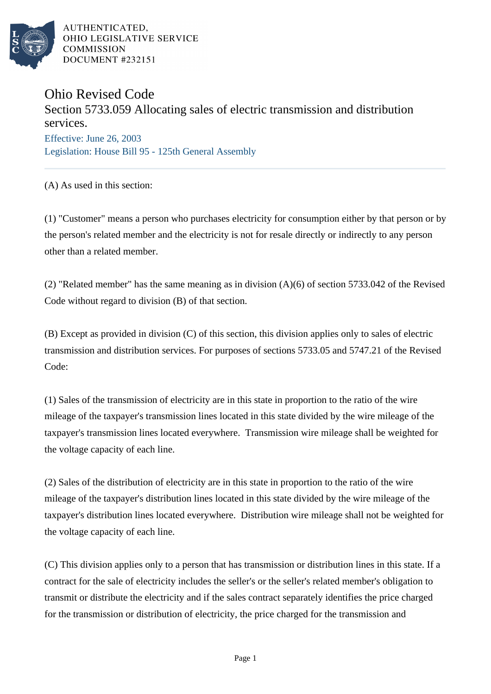

AUTHENTICATED, OHIO LEGISLATIVE SERVICE **COMMISSION DOCUMENT #232151** 

## Ohio Revised Code

## Section 5733.059 Allocating sales of electric transmission and distribution services.

Effective: June 26, 2003 Legislation: House Bill 95 - 125th General Assembly

(A) As used in this section:

(1) "Customer" means a person who purchases electricity for consumption either by that person or by the person's related member and the electricity is not for resale directly or indirectly to any person other than a related member.

(2) "Related member" has the same meaning as in division (A)(6) of section 5733.042 of the Revised Code without regard to division (B) of that section.

(B) Except as provided in division (C) of this section, this division applies only to sales of electric transmission and distribution services. For purposes of sections 5733.05 and 5747.21 of the Revised Code:

(1) Sales of the transmission of electricity are in this state in proportion to the ratio of the wire mileage of the taxpayer's transmission lines located in this state divided by the wire mileage of the taxpayer's transmission lines located everywhere. Transmission wire mileage shall be weighted for the voltage capacity of each line.

(2) Sales of the distribution of electricity are in this state in proportion to the ratio of the wire mileage of the taxpayer's distribution lines located in this state divided by the wire mileage of the taxpayer's distribution lines located everywhere. Distribution wire mileage shall not be weighted for the voltage capacity of each line.

(C) This division applies only to a person that has transmission or distribution lines in this state. If a contract for the sale of electricity includes the seller's or the seller's related member's obligation to transmit or distribute the electricity and if the sales contract separately identifies the price charged for the transmission or distribution of electricity, the price charged for the transmission and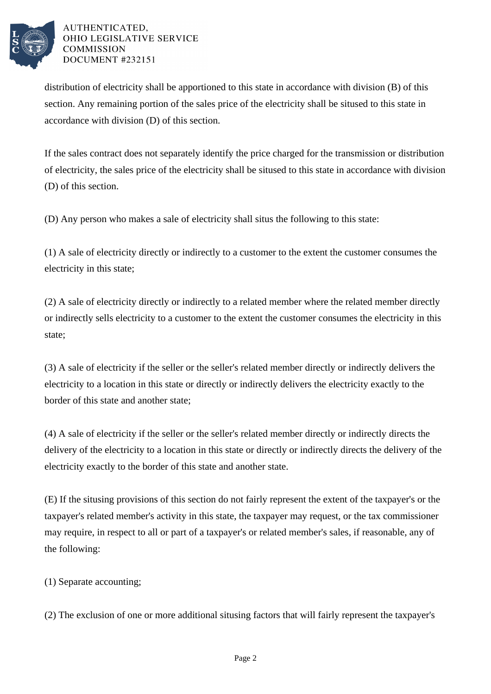

## AUTHENTICATED. OHIO LEGISLATIVE SERVICE **COMMISSION DOCUMENT #232151**

distribution of electricity shall be apportioned to this state in accordance with division (B) of this section. Any remaining portion of the sales price of the electricity shall be sitused to this state in accordance with division (D) of this section.

If the sales contract does not separately identify the price charged for the transmission or distribution of electricity, the sales price of the electricity shall be sitused to this state in accordance with division (D) of this section.

(D) Any person who makes a sale of electricity shall situs the following to this state:

(1) A sale of electricity directly or indirectly to a customer to the extent the customer consumes the electricity in this state;

(2) A sale of electricity directly or indirectly to a related member where the related member directly or indirectly sells electricity to a customer to the extent the customer consumes the electricity in this state;

(3) A sale of electricity if the seller or the seller's related member directly or indirectly delivers the electricity to a location in this state or directly or indirectly delivers the electricity exactly to the border of this state and another state;

(4) A sale of electricity if the seller or the seller's related member directly or indirectly directs the delivery of the electricity to a location in this state or directly or indirectly directs the delivery of the electricity exactly to the border of this state and another state.

(E) If the situsing provisions of this section do not fairly represent the extent of the taxpayer's or the taxpayer's related member's activity in this state, the taxpayer may request, or the tax commissioner may require, in respect to all or part of a taxpayer's or related member's sales, if reasonable, any of the following:

(1) Separate accounting;

(2) The exclusion of one or more additional situsing factors that will fairly represent the taxpayer's